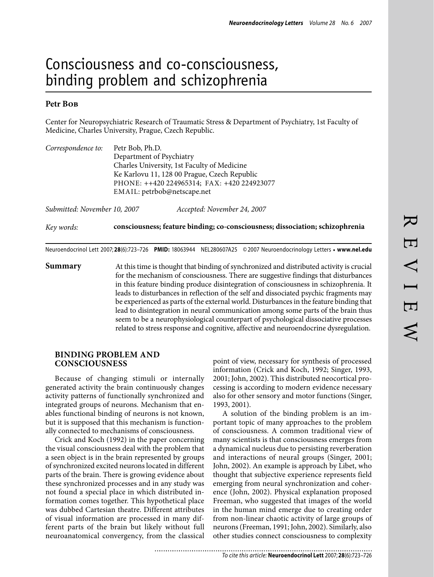# Consciousness and co-consciousness, binding problem and schizophrenia

## Petr B<sub>OB</sub>

Center for Neuropsychiatric Research of Traumatic Stress & Department of Psychiatry, 1st Faculty of Medicine, Charles University, Prague, Czech Republic.

| Correspondence to:           | Petr Bob, Ph.D.                              |                                                                               |
|------------------------------|----------------------------------------------|-------------------------------------------------------------------------------|
|                              | Department of Psychiatry                     |                                                                               |
|                              | Charles University, 1st Faculty of Medicine  |                                                                               |
|                              | Ke Karlovu 11, 128 00 Prague, Czech Republic |                                                                               |
|                              | PHONE: ++420 224965314; FAX: +420 224923077  |                                                                               |
|                              | EMAIL: petrbob@netscape.net                  |                                                                               |
| Submitted: November 10, 2007 |                                              | Accepted: November 24, 2007                                                   |
| Key words:                   |                                              | consciousness; feature binding; co-consciousness; dissociation; schizophrenia |
|                              |                                              |                                                                               |

Neuroendocrinol Lett 2007; **28**(6):723–726 **PMID:** 18063944 NEL280607A25 ©2007 Neuroendocrinology Letters • **www.nel.edu**

**Summary** At this time is thought that binding of synchronized and distributed activity is crucial for the mechanism of consciousness. There are suggestive findings that disturbances in this feature binding produce disintegration of consciousness in schizophrenia. It leads to disturbances in reflection of the self and dissociated psychic fragments may be experienced as parts of the external world. Disturbances in the feature binding that lead to disintegration in neural communication among some parts of the brain thus seem to be a neurophysiological counterpart of psychological dissociative processes related to stress response and cognitive, affective and neuroendocrine dysregulation.

#### **BINDING PROBLEM AND CONSCIOUSNESS**

Because of changing stimuli or internally generated activity the brain continuously changes activity patterns of functionally synchronized and integrated groups of neurons. Mechanism that enables functional binding of neurons is not known, but it is supposed that this mechanism is functionally connected to mechanisms of consciousness.

Crick and Koch (1992) in the paper concerning the visual consciousness deal with the problem that a seen object is in the brain represented by groups of synchronized excited neurons located in different parts of the brain. There is growing evidence about these synchronized processes and in any study was not found a special place in which distributed information comes together. This hypothetical place was dubbed Cartesian theatre. Different attributes of visual information are processed in many different parts of the brain but likely without full neuroanatomical convergency, from the classical

..........................

point of view, necessary for synthesis of processed information (Crick and Koch, 1992; Singer, 1993, 2001; John, 2002). This distributed neocortical processing is according to modern evidence necessary also for other sensory and motor functions (Singer, 1993, 2001).

A solution of the binding problem is an important topic of many approaches to the problem of consciousness. A common traditional view of many scientists is that consciousness emerges from a dynamical nucleus due to persisting reverberation and interactions of neural groups (Singer, 2001; John, 2002). An example is approach by Libet, who thought that subjective experience represents field emerging from neural synchronization and coherence (John, 2002). Physical explanation proposed Freeman, who suggested that images of the world in the human mind emerge due to creating order from non-linear chaotic activity of large groups of neurons (Freeman, 1991; John, 2002). Similarly, also other studies connect consciousness to complexity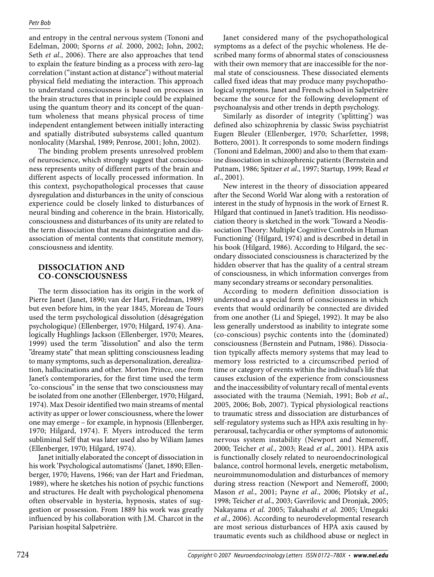#### *Petr Bob*

and entropy in the central nervous system (Tononi and Edelman, 2000; Sporns *et al.* 2000, 2002; John, 2002; Seth *et al*., 2006). There are also approaches that tend to explain the feature binding as a process with zero-lag correlation ("instant action at distance") without material physical field mediating the interaction. This approach to understand consciousness is based on processes in the brain structures that in principle could be explained using the quantum theory and its concept of the quantum wholeness that means physical process of time independent entanglement between initially interacting and spatially distributed subsystems called quantum nonlocality (Marshal, 1989; Penrose, 2001; John, 2002).

The binding problem presents unresolved problem of neuroscience, which strongly suggest that consciousness represents unity of different parts of the brain and different aspects of locally processed information. In this context, psychopathological processes that cause dysregulation and disturbances in the unity of conscious experience could be closely linked to disturbances of neural binding and coherence in the brain. Historically, consciousness and disturbances of its unity are related to the term dissociation that means disintegration and disassociation of mental contents that constitute memory, consciousness and identity.

## **DISSOCIATION AND CO-CONSCIOUSNESS**

The term dissociation has its origin in the work of Pierre Janet (Janet, 1890; van der Hart, Friedman, 1989) but even before him, in the year 1845, Moreau de Tours used the term psychological dissolution (désagrégation psychologique) (Ellenberger, 1970; Hilgard, 1974). Analogically Hughlings Jackson (Ellenberger, 1970; Meares, 1999) used the term "dissolution" and also the term "dreamy state" that mean splitting consciousness leading to many symptoms, such as depersonalization, derealization, hallucinations and other. Morton Prince, one from Janet's contemporaries, for the first time used the term "co-conscious" in the sense that two consciousness may be isolated from one another (Ellenberger, 1970; Hilgard, 1974). Max Desoir identified two main streams of mental activity as upper or lower consciousness, where the lower one may emerge – for example, in hypnosis (Ellenberger, 1970; Hilgard, 1974). F. Myers introduced the term subliminal Self that was later used also by Wiliam James (Ellenberger, 1970; Hilgard, 1974).

Janet initially elaborated the concept of dissociation in his work 'Psychological automatisms' (Janet, 1890; Ellenberger, 1970; Havens, 1966; van der Hart and Friedman, 1989), where he sketches his notion of psychic functions and structures. He dealt with psychological phenomena often observable in hysteria, hypnosis, states of suggestion or possession. From 1889 his work was greatly influenced by his collaboration with J.M. Charcot in the Parisian hospital Salpetrière.

Janet considered many of the psychopathological symptoms as a defect of the psychic wholeness. He described many forms of abnormal states of consciousness with their own memory that are inaccessible for the normal state of consciousness. These dissociated elements called fixed ideas that may produce many psychopathological symptoms. Janet and French school in Salpetrière became the source for the following development of psychoanalysis and other trends in depth psychology.

Similarly as disorder of integrity ('splitting') was defined also schizophrenia by classic Swiss psychiatrist Eugen Bleuler (Ellenberger, 1970; Scharfetter, 1998; Bottero, 2001). It corresponds to some modern findings (Tononi and Edelman, 2000) and also to them that examine dissociation in schizophrenic patients (Bernstein and Putnam, 1986; Spitzer *et al*., 1997; Startup, 1999; Read *et al*., 2001).

New interest in the theory of dissociation appeared after the Second World War along with a restoration of interest in the study of hypnosis in the work of Ernest R. Hilgard that continued in Janet's tradition. His neodissociation theory is sketched in the work 'Toward a Neodissociation Theory: Multiple Cognitive Controls in Human Functioning' (Hilgard, 1974) and is described in detail in his book (Hilgard, 1986). According to Hilgard, the secondary dissociated consciousness is characterized by the hidden observer that has the quality of a central stream of consciousness, in which information converges from many secondary streams or secondary personalities.

According to modern definition dissociation is understood as a special form of consciousness in which events that would ordinarily be connected are divided from one another (Li and Spiegel, 1992). It may be also less generally understood as inability to integrate some (co-conscious) psychic contents into the (dominated) consciousness (Bernstein and Putnam, 1986). Dissociation typically affects memory systems that may lead to memory loss restricted to a circumscribed period of time or category of events within the individual's life that causes exclusion of the experience from consciousness and the inaccessibility of voluntary recall of mental events associated with the trauma (Nemiah, 1991; Bob *et al*., 2005, 2006; Bob, 2007). Typical physiological reactions to traumatic stress and dissociation are disturbances of self-regulatory systems such as HPA axis resulting in hyperarousal, tachycardia or other symptoms of autonomic nervous system instability (Newport and Nemeroff, 2000; Teicher *et al*., 2003; Read *et al*., 2001). HPA axis is functionally closely related to neuroendocrinological balance, control hormonal levels, energetic metabolism, neuroimmunomodulation and disturbances of memory during stress reaction (Newport and Nemeroff, 2000; Mason *et al*., 2001; Payne *et al*., 2006; Plotsky *et al*., 1998; Teicher *et al*., 2003; Gavrilovic and Dronjak, 2005; Nakayama *et al.* 2005; Takahashi *et al.* 2005; Umegaki *et al*., 2006). According to neurodevelopmental research are most serious disturbances of HPA axis caused by traumatic events such as childhood abuse or neglect in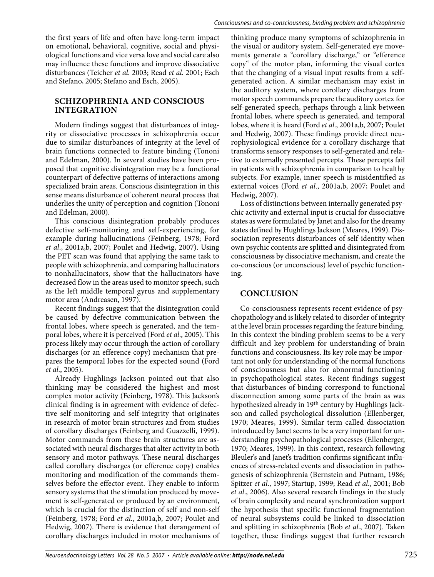the first years of life and often have long-term impact on emotional, behavioral, cognitive, social and physiological functions and vice versa love and social care also may influence these functions and improve dissociative disturbances (Teicher *et al.* 2003; Read *et al.* 2001; Esch and Stefano, 2005; Stefano and Esch, 2005).

# **SCHIZOPHRENIA AND CONSCIOUS INTEGRATION**

Modern findings suggest that disturbances of integrity or dissociative processes in schizophrenia occur due to similar disturbances of integrity at the level of brain functions connected to feature binding (Tononi and Edelman, 2000). In several studies have been proposed that cognitive disintegration may be a functional counterpart of defective patterns of interactions among specialized brain areas. Conscious disintegration in this sense means disturbance of coherent neural process that underlies the unity of perception and cognition (Tononi and Edelman, 2000).

This conscious disintegration probably produces defective self-monitoring and self-experiencing, for example during hallucinations (Feinberg, 1978; Ford *et al*., 2001a,b, 2007; Poulet and Hedwig, 2007). Using the PET scan was found that applying the same task to people with schizophrenia, and comparing hallucinators to nonhallucinators, show that the hallucinators have decreased flow in the areas used to monitor speech, such as the left middle temporal gyrus and supplementary motor area (Andreasen, 1997).

Recent findings suggest that the disintegration could be caused by defective communication between the frontal lobes, where speech is generated, and the temporal lobes, where it is perceived (Ford *et al*., 2005). This process likely may occur through the action of corollary discharges (or an efference copy) mechanism that prepares the temporal lobes for the expected sound (Ford *et al*., 2005).

Already Hughlings Jackson pointed out that also thinking may be considered the highest and most complex motor activity (Feinberg, 1978). This Jackson's clinical finding is in agreement with evidence of defective self-monitoring and self-integrity that originates in research of motor brain structures and from studies of corollary discharges (Feinberg and Guazzelli, 1999). Motor commands from these brain structures are associated with neural discharges that alter activity in both sensory and motor pathways. These neural discharges called corollary discharges (or efference copy) enables monitoring and modification of the commands themselves before the effector event. They enable to inform sensory systems that the stimulation produced by movement is self-generated or produced by an environment, which is crucial for the distinction of self and non-self (Feinberg, 1978; Ford *et al.*, 2001a,b, 2007; Poulet and Hedwig, 2007). There is evidence that derangement of corollary discharges included in motor mechanisms of

thinking produce many symptoms of schizophrenia in the visual or auditory system. Self-generated eye movements generate a "corollary discharge," or "efference copy" of the motor plan, informing the visual cortex that the changing of a visual input results from a selfgenerated action. A similar mechanism may exist in the auditory system, where corollary discharges from motor speech commands prepare the auditory cortex for self-generated speech, perhaps through a link between frontal lobes, where speech is generated, and temporal lobes, where it is heard (Ford *et al*., 2001a,b, 2007; Poulet and Hedwig, 2007). These findings provide direct neurophysiological evidence for a corollary discharge that transforms sensory responses to self-generated and relative to externally presented percepts. These percepts fail in patients with schizophrenia in comparison to healthy subjects. For example, inner speech is misidentified as external voices (Ford *et al*., 2001a,b, 2007; Poulet and Hedwig, 2007).

Loss of distinctions between internally generated psychic activity and external input is crucial for dissociative states as were formulated by Janet and also for the dreamy states defined by Hughlings Jackson (Meares, 1999). Dissociation represents disturbances of self-identity when own psychic contents are splitted and disintegrated from consciousness by dissociative mechanism, and create the co-conscious (or unconscious) level of psychic functioning.

# **CONCLUSION**

Co-consciousness represents recent evidence of psychopathology and is likely related to disorder of integrity at the level brain processes regarding the feature binding. In this context the binding problem seems to be a very difficult and key problem for understanding of brain functions and consciousness. Its key role may be important not only for understanding of the normal functions of consciousness but also for abnormal functioning in psychopathological states. Recent findings suggest that disturbances of binding correspond to functional disconnection among some parts of the brain as was hypothesized already in 19th century by Hughlings Jackson and called psychological dissolution (Ellenberger, 1970; Meares, 1999). Similar term called dissociation introduced by Janet seems to be a very important for understanding psychopathological processes (Ellenberger, 1970; Meares, 1999). In this context, research following Bleuler's and Janet's tradition confirms significant influences of stress-related events and dissociation in pathogenesis of schizophrenia (Bernstein and Putnam, 1986; Spitzer *et al*., 1997; Startup, 1999; Read *et al*., 2001; Bob *et al*., 2006). Also several research findings in the study of brain complexity and neural synchronization support the hypothesis that specific functional fragmentation of neural subsystems could be linked to dissociation and splitting in schizophrenia (Bob *et al*., 2007). Taken together, these findings suggest that further research